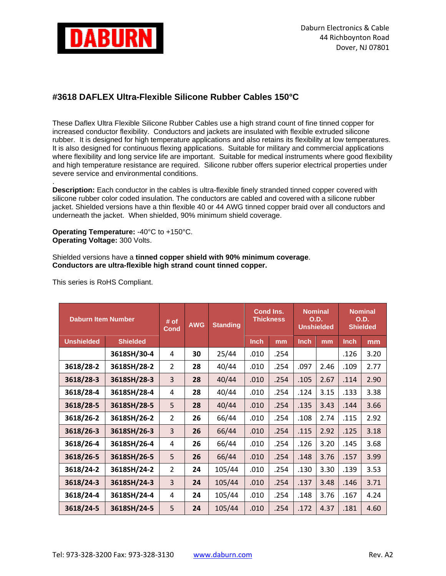

## **#3618 DAFLEX Ultra-Flexible Silicone Rubber Cables 150°C**

These Daflex Ultra Flexible Silicone Rubber Cables use a high strand count of fine tinned copper for increased conductor flexibility. Conductors and jackets are insulated with flexible extruded silicone rubber. It is designed for high temperature applications and also retains its flexibility at low temperatures. It is also designed for continuous flexing applications. Suitable for military and commercial applications where flexibility and long service life are important. Suitable for medical instruments where good flexibility and high temperature resistance are required. Silicone rubber offers superior electrical properties under severe service and environmental conditions.

. **Description:** Each conductor in the cables is ultra-flexible finely stranded tinned copper covered with silicone rubber color coded insulation. The conductors are cabled and covered with a silicone rubber jacket. Shielded versions have a thin flexible 40 or 44 AWG tinned copper braid over all conductors and underneath the jacket. When shielded, 90% minimum shield coverage.

**Operating Temperature:** -40°C to +150°C. **Operating Voltage:** 300 Volts.

Shielded versions have a **tinned copper shield with 90% minimum coverage**. **Conductors are ultra-flexible high strand count tinned copper.**

| <b>Daburn Item Number</b> |                 | # of<br><b>Cond</b> | <b>AWG</b> | <b>Standing</b> | Cond Ins.<br><b>Thickness</b> |      | <b>Nominal</b><br>O.D.<br><b>Unshielded</b> |      | <b>Nominal</b><br>O.D.<br><b>Shielded</b> |      |
|---------------------------|-----------------|---------------------|------------|-----------------|-------------------------------|------|---------------------------------------------|------|-------------------------------------------|------|
| <b>Unshielded</b>         | <b>Shielded</b> |                     |            |                 | <b>Inch</b>                   | mm   | <b>Inch</b>                                 | mm   | Inch                                      | mm   |
|                           | 3618SH/30-4     | 4                   | 30         | 25/44           | .010                          | .254 |                                             |      | .126                                      | 3.20 |
| 3618/28-2                 | 3618SH/28-2     | $\overline{2}$      | 28         | 40/44           | .010                          | .254 | .097                                        | 2.46 | .109                                      | 2.77 |
| 3618/28-3                 | 3618SH/28-3     | $\overline{3}$      | 28         | 40/44           | .010                          | .254 | .105                                        | 2.67 | .114                                      | 2.90 |
| 3618/28-4                 | 3618SH/28-4     | 4                   | 28         | 40/44           | .010                          | .254 | .124                                        | 3.15 | .133                                      | 3.38 |
| 3618/28-5                 | 3618SH/28-5     | 5                   | 28         | 40/44           | .010                          | .254 | .135                                        | 3.43 | .144                                      | 3.66 |
| 3618/26-2                 | 3618SH/26-2     | $\overline{2}$      | 26         | 66/44           | .010                          | .254 | .108                                        | 2.74 | .115                                      | 2.92 |
| 3618/26-3                 | 3618SH/26-3     | $\overline{3}$      | 26         | 66/44           | .010                          | .254 | .115                                        | 2.92 | .125                                      | 3.18 |
| 3618/26-4                 | 3618SH/26-4     | 4                   | 26         | 66/44           | .010                          | .254 | .126                                        | 3.20 | .145                                      | 3.68 |
| 3618/26-5                 | 3618SH/26-5     | 5                   | 26         | 66/44           | .010                          | .254 | .148                                        | 3.76 | .157                                      | 3.99 |
| 3618/24-2                 | 3618SH/24-2     | $\overline{2}$      | 24         | 105/44          | .010                          | .254 | .130                                        | 3.30 | .139                                      | 3.53 |
| 3618/24-3                 | 3618SH/24-3     | 3                   | 24         | 105/44          | .010                          | .254 | .137                                        | 3.48 | .146                                      | 3.71 |
| 3618/24-4                 | 3618SH/24-4     | 4                   | 24         | 105/44          | .010                          | .254 | .148                                        | 3.76 | .167                                      | 4.24 |
| 3618/24-5                 | 3618SH/24-5     | 5                   | 24         | 105/44          | .010                          | .254 | .172                                        | 4.37 | .181                                      | 4.60 |

This series is RoHS Compliant.